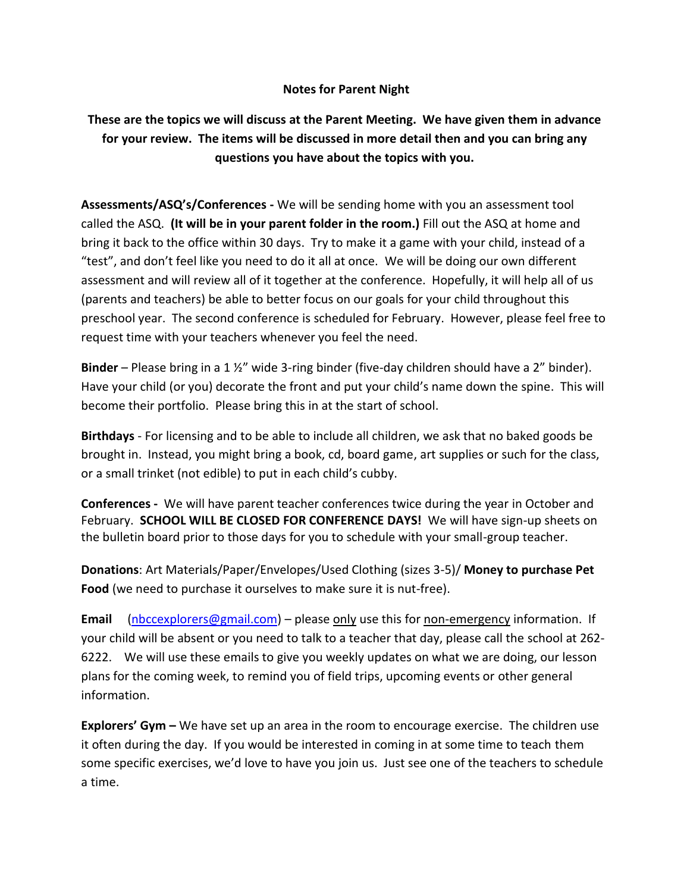## **Notes for Parent Night**

## **These are the topics we will discuss at the Parent Meeting. We have given them in advance for your review. The items will be discussed in more detail then and you can bring any questions you have about the topics with you.**

**Assessments/ASQ's/Conferences -** We will be sending home with you an assessment tool called the ASQ. **(It will be in your parent folder in the room.)** Fill out the ASQ at home and bring it back to the office within 30 days. Try to make it a game with your child, instead of a "test", and don't feel like you need to do it all at once. We will be doing our own different assessment and will review all of it together at the conference. Hopefully, it will help all of us (parents and teachers) be able to better focus on our goals for your child throughout this preschool year. The second conference is scheduled for February. However, please feel free to request time with your teachers whenever you feel the need.

**Binder** – Please bring in a 1 ½" wide 3-ring binder (five-day children should have a 2" binder). Have your child (or you) decorate the front and put your child's name down the spine. This will become their portfolio. Please bring this in at the start of school.

**Birthdays** - For licensing and to be able to include all children, we ask that no baked goods be brought in. Instead, you might bring a book, cd, board game, art supplies or such for the class, or a small trinket (not edible) to put in each child's cubby.

**Conferences -** We will have parent teacher conferences twice during the year in October and February. **SCHOOL WILL BE CLOSED FOR CONFERENCE DAYS!** We will have sign-up sheets on the bulletin board prior to those days for you to schedule with your small-group teacher.

**Donations**: Art Materials/Paper/Envelopes/Used Clothing (sizes 3-5)/ **Money to purchase Pet Food** (we need to purchase it ourselves to make sure it is nut-free).

**Email** [\(nbccexplorers@gmail.com\)](mailto:nbccexplorers@gmail.com) – please only use this for non-emergency information. If your child will be absent or you need to talk to a teacher that day, please call the school at 262- 6222. We will use these emails to give you weekly updates on what we are doing, our lesson plans for the coming week, to remind you of field trips, upcoming events or other general information.

**Explorers' Gym –** We have set up an area in the room to encourage exercise. The children use it often during the day. If you would be interested in coming in at some time to teach them some specific exercises, we'd love to have you join us. Just see one of the teachers to schedule a time.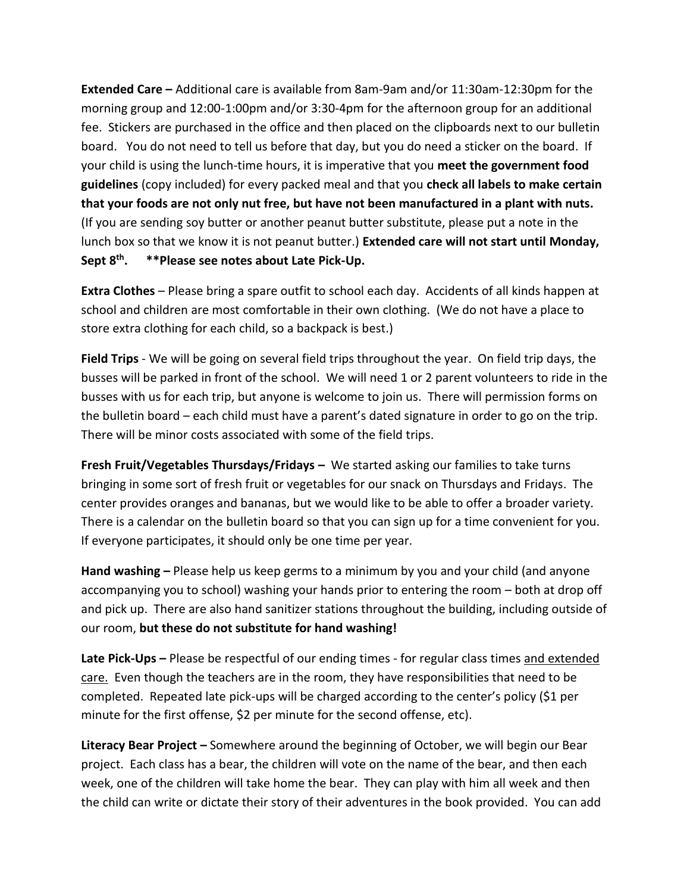**Extended Care –** Additional care is available from 8am-9am and/or 11:30am-12:30pm for the morning group and 12:00-1:00pm and/or 3:30-4pm for the afternoon group for an additional fee. Stickers are purchased in the office and then placed on the clipboards next to our bulletin board. You do not need to tell us before that day, but you do need a sticker on the board. If your child is using the lunch-time hours, it is imperative that you **meet the government food guidelines** (copy included) for every packed meal and that you **check all labels to make certain that your foods are not only nut free, but have not been manufactured in a plant with nuts.** (If you are sending soy butter or another peanut butter substitute, please put a note in the lunch box so that we know it is not peanut butter.) **Extended care will not start until Monday, Sept 8 th . \*\*Please see notes about Late Pick-Up.**

**Extra Clothes** – Please bring a spare outfit to school each day. Accidents of all kinds happen at school and children are most comfortable in their own clothing. (We do not have a place to store extra clothing for each child, so a backpack is best.)

**Field Trips** - We will be going on several field trips throughout the year. On field trip days, the busses will be parked in front of the school. We will need 1 or 2 parent volunteers to ride in the busses with us for each trip, but anyone is welcome to join us. There will permission forms on the bulletin board – each child must have a parent's dated signature in order to go on the trip. There will be minor costs associated with some of the field trips.

**Fresh Fruit/Vegetables Thursdays/Fridays –** We started asking our families to take turns bringing in some sort of fresh fruit or vegetables for our snack on Thursdays and Fridays. The center provides oranges and bananas, but we would like to be able to offer a broader variety. There is a calendar on the bulletin board so that you can sign up for a time convenient for you. If everyone participates, it should only be one time per year.

**Hand washing –** Please help us keep germs to a minimum by you and your child (and anyone accompanying you to school) washing your hands prior to entering the room – both at drop off and pick up. There are also hand sanitizer stations throughout the building, including outside of our room, **but these do not substitute for hand washing!**

**Late Pick-Ups –** Please be respectful of our ending times - for regular class times and extended care. Even though the teachers are in the room, they have responsibilities that need to be completed. Repeated late pick-ups will be charged according to the center's policy (\$1 per minute for the first offense, \$2 per minute for the second offense, etc).

**Literacy Bear Project –** Somewhere around the beginning of October, we will begin our Bear project. Each class has a bear, the children will vote on the name of the bear, and then each week, one of the children will take home the bear. They can play with him all week and then the child can write or dictate their story of their adventures in the book provided. You can add